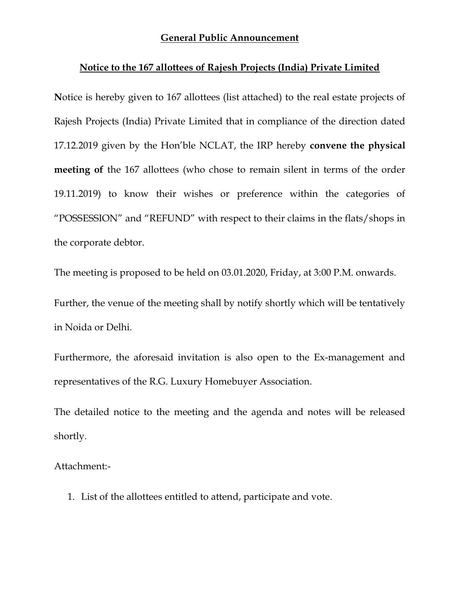#### General Public Announcement

#### Notice to the 167 allottees of Rajesh Projects (India) Private Limited

Notice is hereby given to 167 allottees (list attached) to the real estate projects of Rajesh Projects (India) Private Limited that in compliance of the direction dated 17.12.2019 given by the Hon'ble NCLAT, the IRP hereby convene the physical meeting of the 167 allottees (who chose to remain silent in terms of the order 19.11.2019) to know their wishes or preference within the categories of "POSSESSION" and "REFUND" with respect to their claims in the flats/shops in the corporate debtor.

The meeting is proposed to be held on 03.01.2020, Friday, at 3:00 P.M. onwards.

Further, the venue of the meeting shall by notify shortly which will be tentatively in Noida or Delhi.

Furthermore, the aforesaid invitation is also open to the Ex-management and representatives of the R.G. Luxury Homebuyer Association.

The detailed notice to the meeting and the agenda and notes will be released shortly.

Attachment:-

1. List of the allottees entitled to attend, participate and vote.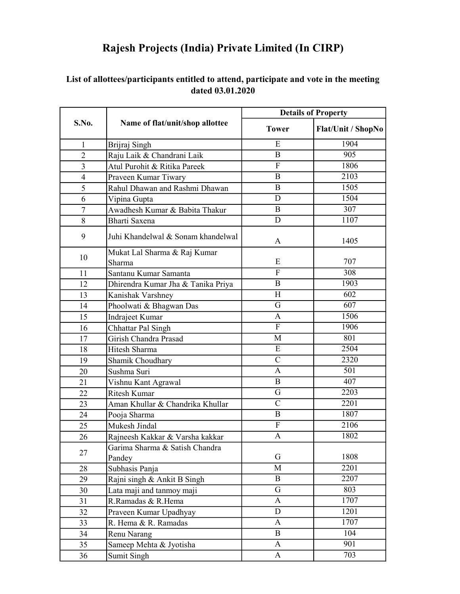| S.No.          | Name of flat/unit/shop allottee          | <b>Details of Property</b> |                    |
|----------------|------------------------------------------|----------------------------|--------------------|
|                |                                          | <b>Tower</b>               | Flat/Unit / ShopNo |
| 1              | Brijraj Singh                            | E                          | 1904               |
| $\overline{2}$ | Raju Laik & Chandrani Laik               | $\mathbf{B}$               | 905                |
| $\overline{3}$ | Atul Purohit & Ritika Pareek             | $\mathbf{F}$               | 1806               |
| $\overline{4}$ | Praveen Kumar Tiwary                     | $\bf{B}$                   | 2103               |
| 5              | Rahul Dhawan and Rashmi Dhawan           | B                          | 1505               |
| 6              | Vipina Gupta                             | D                          | 1504               |
| 7              | Awadhesh Kumar & Babita Thakur           | B                          | 307                |
| 8              | Bharti Saxena                            | D                          | 1107               |
| 9              | Juhi Khandelwal & Sonam khandelwal       | A                          | 1405               |
| 10             | Mukat Lal Sharma & Raj Kumar             |                            |                    |
|                | Sharma                                   | E                          | 707                |
| 11             | Santanu Kumar Samanta                    | $\mathbf F$                | 308                |
| 12             | Dhirendra Kumar Jha & Tanika Priya       | B                          | 1903               |
| 13             | Kanishak Varshney                        | H                          | 602                |
| 14             | Phoolwati & Bhagwan Das                  | G                          | 607                |
| 15             | Indrajeet Kumar                          | A                          | 1506               |
| 16             | Chhattar Pal Singh                       | F                          | 1906               |
| 17             | Girish Chandra Prasad                    | M                          | 801                |
| 18             | Hitesh Sharma                            | E                          | 2504               |
| 19             | Shamik Choudhary                         | $\mathbf C$                | 2320               |
| 20             | Sushma Suri                              | A                          | 501                |
| 21             | Vishnu Kant Agrawal                      | B                          | 407                |
| 22             | <b>Ritesh Kumar</b>                      | G                          | 2203               |
| 23             | Aman Khullar & Chandrika Khullar         | $\mathbf C$                | 2201               |
| 24             | Pooja Sharma                             | B                          | 1807               |
| 25             | Mukesh Jindal                            | $\mathbf{F}$               | 2106               |
| 26             | Rajneesh Kakkar & Varsha kakkar          | A                          | 1802               |
| 27             | Garima Sharma & Satish Chandra<br>Pandey | G                          | 1808               |
| 28             | Subhasis Panja                           | M                          | 2201               |
| 29             | Rajni singh & Ankit B Singh              | $\mathbf{B}$               | 2207               |
| 30             | Lata maji and tanmoy maji                | G                          | 803                |
| 31             | R.Ramadas & R.Hema                       | $\mathbf{A}$               | 1707               |
| 32             | Praveen Kumar Upadhyay                   | D                          | 1201               |
| 33             | R. Hema & R. Ramadas                     | A                          | 1707               |
| 34             | Renu Narang                              | $\overline{B}$             | 104                |
| 35             | Sameep Mehta & Jyotisha                  | A                          | 901                |
| 36             | Sumit Singh                              | A                          | 703                |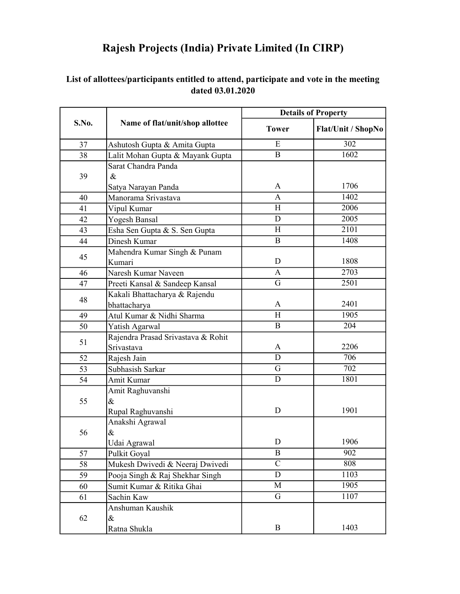|       | Name of flat/unit/shop allottee    | <b>Details of Property</b> |                           |
|-------|------------------------------------|----------------------------|---------------------------|
| S.No. |                                    | <b>Tower</b>               | <b>Flat/Unit / ShopNo</b> |
| 37    | Ashutosh Gupta & Amita Gupta       | E                          | 302                       |
| 38    | Lalit Mohan Gupta & Mayank Gupta   | $\mathbf B$                | 1602                      |
|       | Sarat Chandra Panda                |                            |                           |
| 39    | $\&$                               |                            |                           |
|       | Satya Narayan Panda                | A                          | 1706                      |
| 40    | Manorama Srivastava                | A                          | 1402                      |
| 41    | Vipul Kumar                        | H                          | 2006                      |
| 42    | Yogesh Bansal                      | D                          | 2005                      |
| 43    | Esha Sen Gupta & S. Sen Gupta      | H                          | 2101                      |
| 44    | Dinesh Kumar                       | $\mathbf B$                | 1408                      |
| 45    | Mahendra Kumar Singh & Punam       |                            |                           |
|       | Kumari                             | D                          | 1808                      |
| 46    | Naresh Kumar Naveen                | A                          | 2703                      |
| 47    | Preeti Kansal & Sandeep Kansal     | G                          | 2501                      |
| 48    | Kakali Bhattacharya & Rajendu      |                            |                           |
|       | bhattacharya                       | A                          | 2401                      |
| 49    | Atul Kumar & Nidhi Sharma          | H                          | 1905                      |
| 50    | Yatish Agarwal                     | $\mathbf B$                | 204                       |
| 51    | Rajendra Prasad Srivastava & Rohit |                            |                           |
|       | Srivastava                         | A                          | 2206                      |
| 52    | Rajesh Jain                        | D                          | 706                       |
| 53    | Subhasish Sarkar                   | G                          | 702                       |
| 54    | Amit Kumar                         | D                          | 1801                      |
|       | Amit Raghuvanshi                   |                            |                           |
| 55    | $\&$                               |                            |                           |
|       | Rupal Raghuvanshi                  | D                          | 1901                      |
|       | Anakshi Agrawal                    |                            |                           |
| 56    | $\&$                               |                            |                           |
|       | Udai Agrawal                       | D                          | 1906                      |
| 57    | Pulkit Goyal                       | B                          | 902                       |
| 58    | Mukesh Dwivedi & Neeraj Dwivedi    | $\mathbf C$                | 808                       |
| 59    | Pooja Singh & Raj Shekhar Singh    | D                          | 1103                      |
| 60    | Sumit Kumar & Ritika Ghai          | M                          | 1905                      |
| 61    | Sachin Kaw                         | G                          | 1107                      |
|       | Anshuman Kaushik                   |                            |                           |
| 62    | $\&$                               |                            |                           |
|       | Ratna Shukla                       | B                          | 1403                      |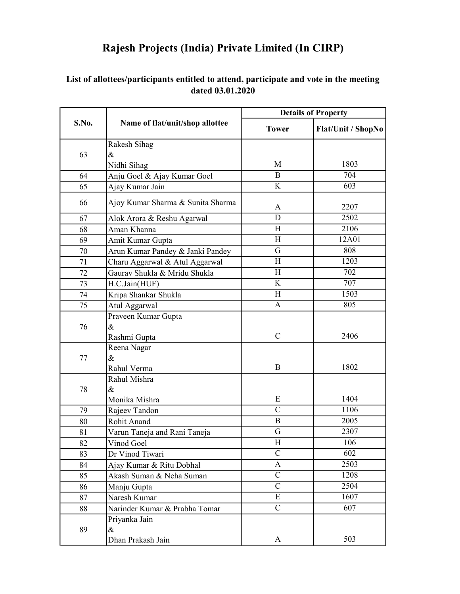| S.No. | Name of flat/unit/shop allottee   | <b>Details of Property</b> |                    |
|-------|-----------------------------------|----------------------------|--------------------|
|       |                                   | <b>Tower</b>               | Flat/Unit / ShopNo |
|       | Rakesh Sihag                      |                            |                    |
| 63    | $\&$                              |                            |                    |
|       | Nidhi Sihag                       | M                          | 1803               |
| 64    | Anju Goel & Ajay Kumar Goel       | B                          | 704                |
| 65    | Ajay Kumar Jain                   | K                          | 603                |
| 66    | Ajoy Kumar Sharma & Sunita Sharma | A                          | 2207               |
| 67    | Alok Arora & Reshu Agarwal        | D                          | 2502               |
| 68    | Aman Khanna                       | H                          | 2106               |
| 69    | Amit Kumar Gupta                  | H                          | 12A01              |
| 70    | Arun Kumar Pandey & Janki Pandey  | G                          | 808                |
| 71    | Charu Aggarwal & Atul Aggarwal    | H                          | 1203               |
| 72    | Gaurav Shukla & Mridu Shukla      | H                          | 702                |
| 73    | H.C.Jain(HUF)                     | $\bf K$                    | 707                |
| 74    | Kripa Shankar Shukla              | H                          | 1503               |
| 75    | Atul Aggarwal                     | A                          | 805                |
|       | Praveen Kumar Gupta               |                            |                    |
| 76    | $\&$                              |                            |                    |
|       | Rashmi Gupta                      | $\mathcal{C}$              | 2406               |
|       | Reena Nagar                       |                            |                    |
| 77    | $\&$                              |                            |                    |
|       | Rahul Verma                       | B                          | 1802               |
|       | Rahul Mishra                      |                            |                    |
| 78    | $\&$                              |                            |                    |
|       | Monika Mishra                     | Ε                          | 1404               |
| 79    | Rajeev Tandon                     | $\overline{C}$             | 1106               |
| 80    | Rohit Anand                       | B                          | 2005               |
| 81    | Varun Taneja and Rani Taneja      | G                          | 2307               |
| 82    | Vinod Goel                        | $\rm H$                    | 106                |
| 83    | Dr Vinod Tiwari                   | $\mathsf{C}$               | 602                |
| 84    | Ajay Kumar & Ritu Dobhal          | $\mathbf{A}$               | 2503               |
| 85    | Akash Suman & Neha Suman          | $\overline{C}$             | 1208               |
| 86    | Manju Gupta                       | $\mathbf C$                | 2504               |
| 87    | Naresh Kumar                      | ${\bf E}$                  | 1607               |
| 88    | Narinder Kumar & Prabha Tomar     | $\mathbf C$                | 607                |
|       | Priyanka Jain                     |                            |                    |
| 89    | $\&$                              |                            |                    |
|       | Dhan Prakash Jain                 | A                          | 503                |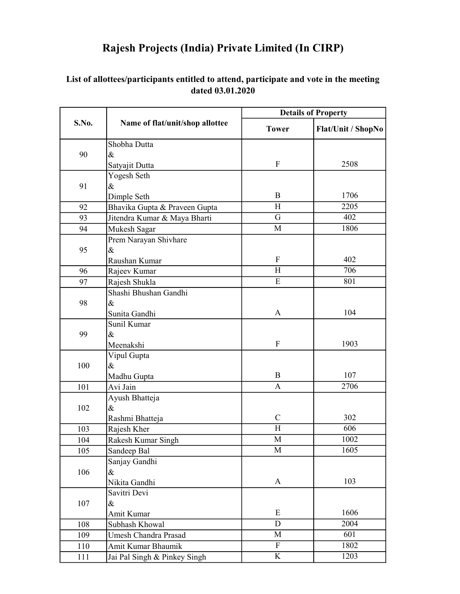| S.No. | Name of flat/unit/shop allottee | <b>Details of Property</b> |                    |
|-------|---------------------------------|----------------------------|--------------------|
|       |                                 | <b>Tower</b>               | Flat/Unit / ShopNo |
|       | Shobha Dutta                    |                            |                    |
| 90    | $\&$                            |                            |                    |
|       | Satyajit Dutta                  | ${\bf F}$                  | 2508               |
|       | Yogesh Seth                     |                            |                    |
| 91    | $\&$                            |                            |                    |
|       | Dimple Seth                     | B                          | 1706               |
| 92    | Bhavika Gupta & Praveen Gupta   | H                          | 2205               |
| 93    | Jitendra Kumar & Maya Bharti    | $\overline{G}$             | 402                |
| 94    | Mukesh Sagar                    | M                          | 1806               |
|       | Prem Narayan Shivhare           |                            |                    |
| 95    | $\&$                            |                            |                    |
|       | Raushan Kumar                   | ${\bf F}$                  | 402                |
| 96    | Rajeev Kumar                    | H                          | 706                |
| 97    | Rajesh Shukla                   | $\overline{E}$             | 801                |
|       | Shashi Bhushan Gandhi           |                            |                    |
| 98    | $\&$                            |                            |                    |
|       | Sunita Gandhi                   | A                          | 104                |
|       | Sunil Kumar                     |                            |                    |
| 99    | $\&$                            |                            |                    |
|       | Meenakshi                       | ${\bf F}$                  | 1903               |
|       | Vipul Gupta                     |                            |                    |
| 100   | $\&$                            |                            |                    |
|       | Madhu Gupta                     | $\mathbf B$                | 107                |
| 101   | Avi Jain                        | A                          | 2706               |
|       | Ayush Bhatteja                  |                            |                    |
| 102   | $\&$                            |                            |                    |
|       | Rashmi Bhatteja                 | $\mathcal{C}$              | 302                |
| 103   | Rajesh Kher                     | H                          | 606                |
| 104   | Rakesh Kumar Singh              | M                          | 1002               |
| 105   | Sandeep Bal                     | M                          | 1605               |
|       | Sanjay Gandhi                   |                            |                    |
| 106   | $\&$                            |                            |                    |
|       | Nikita Gandhi                   | A                          | 103                |
|       | Savitri Devi                    |                            |                    |
| 107   | $\&$                            |                            |                    |
|       | Amit Kumar                      | E                          | 1606               |
| 108   | Subhash Khowal                  | D                          | 2004               |
| 109   | Umesh Chandra Prasad            | M                          | 601                |
| 110   | Amit Kumar Bhaumik              | $\overline{F}$             | 1802               |
| 111   | Jai Pal Singh & Pinkey Singh    | $\rm K$                    | 1203               |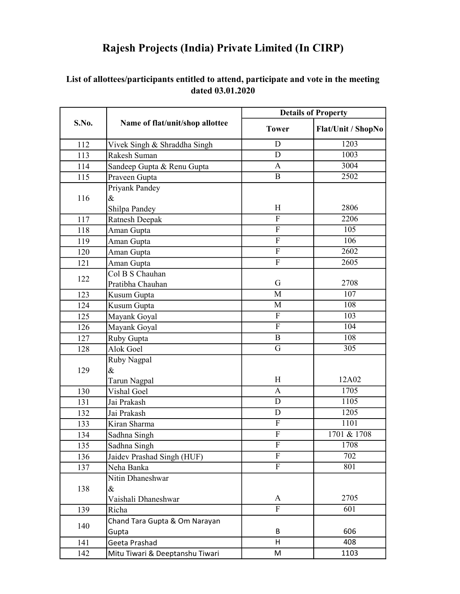| S.No. | Name of flat/unit/shop allottee         | <b>Details of Property</b> |                    |
|-------|-----------------------------------------|----------------------------|--------------------|
|       |                                         | <b>Tower</b>               | Flat/Unit / ShopNo |
| 112   | Vivek Singh & Shraddha Singh            | D                          | 1203               |
| 113   | Rakesh Suman                            | D                          | 1003               |
| 114   | Sandeep Gupta & Renu Gupta              | A                          | 3004               |
| 115   | Praveen Gupta                           | $\overline{B}$             | 2502               |
| 116   | Priyank Pandey<br>$\&$<br>Shilpa Pandey | H                          | 2806               |
| 117   | Ratnesh Deepak                          | $\mathbf{F}$               | 2206               |
| 118   | Aman Gupta                              | ${\bf F}$                  | 105                |
| 119   | Aman Gupta                              | $\overline{F}$             | 106                |
| 120   | Aman Gupta                              | $\overline{F}$             | 2602               |
| 121   |                                         | $\overline{F}$             | 2605               |
|       | Aman Gupta<br>Col B S Chauhan           |                            |                    |
| 122   | Pratibha Chauhan                        | G                          | 2708               |
| 123   | Kusum Gupta                             | M                          | 107                |
| 124   | Kusum Gupta                             | M                          | 108                |
| 125   | Mayank Goyal                            | $\overline{F}$             | 103                |
| 126   | Mayank Goyal                            | $\overline{F}$             | 104                |
| 127   | Ruby Gupta                              | $\mathbf B$                | 108                |
| 128   | Alok Goel                               | G                          | 305                |
| 129   | Ruby Nagpal<br>$\&$<br>Tarun Nagpal     | H                          | 12A02              |
| 130   | Vishal Goel                             | A                          | 1705               |
| 131   | Jai Prakash                             | D                          | $\overline{1105}$  |
| 132   | Jai Prakash                             | D                          | 1205               |
| 133   | Kiran Sharma                            | $\boldsymbol{\mathrm{F}}$  | 1101               |
| 134   | Sadhna Singh                            | ${\bf F}$                  | 1701 & 1708        |
| 135   | Sadhna Singh                            | $\mathbf{F}$               | 1708               |
| 136   | Jaidev Prashad Singh (HUF)              | $\mathbf{F}$               | 702                |
| 137   | Neha Banka                              | $\overline{F}$             | 801                |
| 138   | Nitin Dhaneshwar<br>$\&$                |                            |                    |
|       | Vaishali Dhaneshwar                     | A                          | 2705               |
| 139   | Richa                                   | $\mathbf{F}$               | 601                |
| 140   | Chand Tara Gupta & Om Narayan<br>Gupta  | B                          | 606                |
| 141   | Geeta Prashad                           | H                          | 408                |
| 142   | Mitu Tiwari & Deeptanshu Tiwari         | M                          | 1103               |